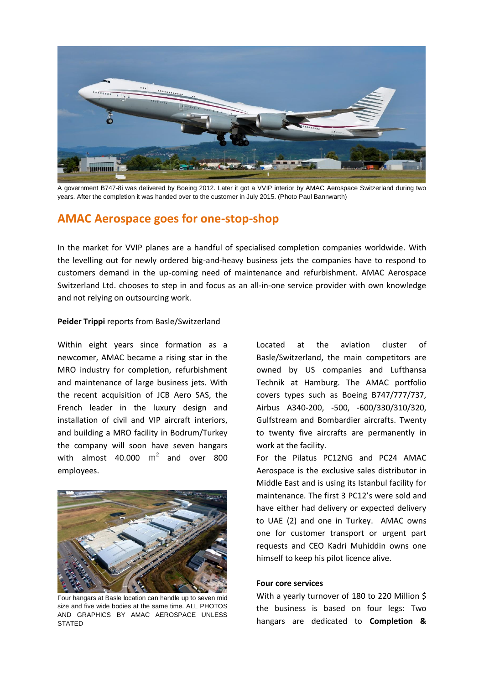

A government B747-8i was delivered by Boeing 2012. Later it got a VVIP interior by AMAC Aerospace Switzerland during two years. After the completion it was handed over to the customer in July 2015. (Photo Paul Bannwarth)

# **AMAC Aerospace goes for one-stop-shop**

In the market for VVIP planes are a handful of specialised completion companies worldwide. With the levelling out for newly ordered big-and-heavy business jets the companies have to respond to customers demand in the up-coming need of maintenance and refurbishment. AMAC Aerospace Switzerland Ltd. chooses to step in and focus as an all-in-one service provider with own knowledge and not relying on outsourcing work.

## **Peider Trippi** reports from Basle/Switzerland

Within eight years since formation as a newcomer, AMAC became a rising star in the MRO industry for completion, refurbishment and maintenance of large business jets. With the recent acquisition of JCB Aero SAS, the French leader in the luxury design and installation of civil and VIP aircraft interiors, and building a MRO facility in Bodrum/Turkey the company will soon have seven hangars with almost 40.000  $m^2$  and over 800 employees.



Four hangars at Basle location can handle up to seven mid size and five wide bodies at the same time. ALL PHOTOS AND GRAPHICS BY AMAC AEROSPACE UNLESS **STATED** 

Located at the aviation cluster of Basle/Switzerland, the main competitors are owned by US companies and Lufthansa Technik at Hamburg. The AMAC portfolio covers types such as Boeing B747/777/737, Airbus A340-200, -500, -600/330/310/320, Gulfstream and Bombardier aircrafts. Twenty to twenty five aircrafts are permanently in work at the facility.

For the Pilatus PC12NG and PC24 AMAC Aerospace is the exclusive sales distributor in Middle East and is using its Istanbul facility for maintenance. The first 3 PC12's were sold and have either had delivery or expected delivery to UAE (2) and one in Turkey. AMAC owns one for customer transport or urgent part requests and CEO Kadri Muhiddin owns one himself to keep his pilot licence alive.

## **Four core services**

With a yearly turnover of 180 to 220 Million \$ the business is based on four legs: Two hangars are dedicated to **Completion &**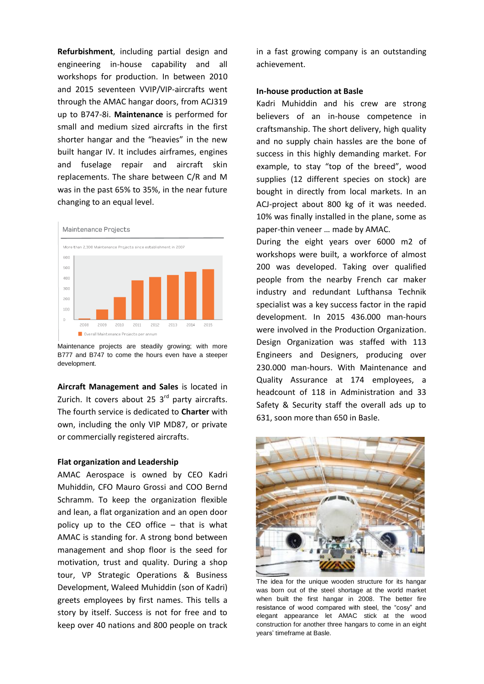**Refurbishment**, including partial design and engineering in-house capability and all workshops for production. In between 2010 and 2015 seventeen VVIP/VIP-aircrafts went through the AMAC hangar doors, from ACJ319 up to B747-8i. **Maintenance** is performed for small and medium sized aircrafts in the first shorter hangar and the "heavies" in the new built hangar IV. It includes airframes, engines and fuselage repair and aircraft skin replacements. The share between C/R and M was in the past 65% to 35%, in the near future changing to an equal level.



Maintenance projects are steadily growing; with more B777 and B747 to come the hours even have a steeper development.

**Aircraft Management and Sales** is located in Zurich. It covers about 25 3<sup>rd</sup> party aircrafts. The fourth service is dedicated to **Charter** with own, including the only VIP MD87, or private or commercially registered aircrafts.

## **Flat organization and Leadership**

AMAC Aerospace is owned by CEO Kadri Muhiddin, CFO Mauro Grossi and COO Bernd Schramm. To keep the organization flexible and lean, a flat organization and an open door policy up to the CEO office – that is what AMAC is standing for. A strong bond between management and shop floor is the seed for motivation, trust and quality. During a shop tour, [VP Strategic Operations & Business](https://www.linkedin.com/title/vp-strategic-operations-%26-business-development?trk=mprofile_title)  [Development,](https://www.linkedin.com/title/vp-strategic-operations-%26-business-development?trk=mprofile_title) Waleed Muhiddin (son of Kadri) greets employees by first names. This tells a story by itself. Success is not for free and to keep over 40 nations and 800 people on track in a fast growing company is an outstanding achievement.

### **In-house production at Basle**

Kadri Muhiddin and his crew are strong believers of an in-house competence in craftsmanship. The short delivery, high quality and no supply chain hassles are the bone of success in this highly demanding market. For example, to stay "top of the breed", wood supplies (12 different species on stock) are bought in directly from local markets. In an ACJ-project about 800 kg of it was needed. 10% was finally installed in the plane, some as paper-thin veneer … made by AMAC.

During the eight years over 6000 m2 of workshops were built, a workforce of almost 200 was developed. Taking over qualified people from the nearby French car maker industry and redundant Lufthansa Technik specialist was a key success factor in the rapid development. In 2015 436.000 man-hours were involved in the Production Organization. Design Organization was staffed with 113 Engineers and Designers, producing over 230.000 man-hours. With Maintenance and Quality Assurance at 174 employees, a headcount of 118 in Administration and 33 Safety & Security staff the overall ads up to 631, soon more than 650 in Basle.



The idea for the unique wooden structure for its hangar was born out of the steel shortage at the world market when built the first hangar in 2008. The better fire resistance of wood compared with steel, the "cosy" and elegant appearance let AMAC stick at the wood construction for another three hangars to come in an eight years' timeframe at Basle.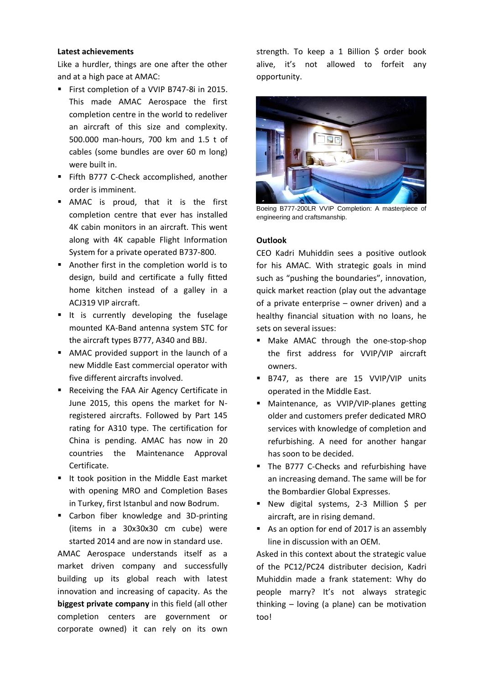## **Latest achievements**

Like a hurdler, things are one after the other and at a high pace at AMAC:

- First completion of a VVIP B747-8i in 2015. This made AMAC Aerospace the first completion centre in the world to redeliver an aircraft of this size and complexity. 500.000 man-hours, 700 km and 1.5 t of cables (some bundles are over 60 m long) were built in.
- Fifth B777 C-Check accomplished, another order is imminent.
- AMAC is proud, that it is the first completion centre that ever has installed 4K cabin monitors in an aircraft. This went along with 4K capable Flight Information System for a private operated B737-800.
- Another first in the completion world is to design, build and certificate a fully fitted home kitchen instead of a galley in a ACJ319 VIP aircraft.
- It is currently developing the fuselage mounted KA-Band antenna system STC for the aircraft types B777, A340 and BBJ.
- AMAC provided support in the launch of a new Middle East commercial operator with five different aircrafts involved.
- Receiving the FAA Air Agency Certificate in June 2015, this opens the market for Nregistered aircrafts. Followed by Part 145 rating for A310 type. The certification for China is pending. AMAC has now in 20 countries the Maintenance Approval Certificate.
- It took position in the Middle East market with opening MRO and Completion Bases in Turkey, first Istanbul and now Bodrum.
- Carbon fiber knowledge and 3D-printing (items in a 30x30x30 cm cube) were started 2014 and are now in standard use.

AMAC Aerospace understands itself as a market driven company and successfully building up its global reach with latest innovation and increasing of capacity. As the **biggest private company** in this field (all other completion centers are government or corporate owned) it can rely on its own

strength. To keep a 1 Billion \$ order book alive, it's not allowed to forfeit any opportunity.



Boeing B777-200LR VVIP Completion: A masterpiece of engineering and craftsmanship.

## **Outlook**

CEO Kadri Muhiddin sees a positive outlook for his AMAC. With strategic goals in mind such as "pushing the boundaries", innovation, quick market reaction (play out the advantage of a private enterprise – owner driven) and a healthy financial situation with no loans, he sets on several issues:

- **Make AMAC through the one-stop-shop** the first address for VVIP/VIP aircraft owners.
- B747, as there are 15 VVIP/VIP units operated in the Middle East.
- **Maintenance, as VVIP/VIP-planes getting** older and customers prefer dedicated MRO services with knowledge of completion and refurbishing. A need for another hangar has soon to be decided.
- The B777 C-Checks and refurbishing have an increasing demand. The same will be for the Bombardier Global Expresses.
- New digital systems, 2-3 Million \$ per aircraft, are in rising demand.
- As an option for end of 2017 is an assembly line in discussion with an OEM.

Asked in this context about the strategic value of the PC12/PC24 distributer decision, Kadri Muhiddin made a frank statement: Why do people marry? It's not always strategic thinking – loving (a plane) can be motivation too!